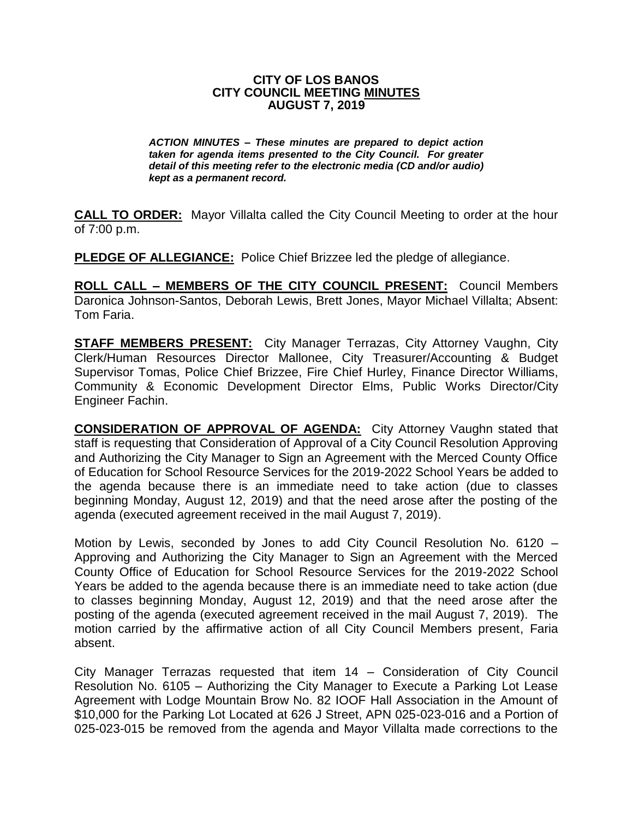#### **CITY OF LOS BANOS CITY COUNCIL MEETING MINUTES AUGUST 7, 2019**

*ACTION MINUTES – These minutes are prepared to depict action taken for agenda items presented to the City Council. For greater detail of this meeting refer to the electronic media (CD and/or audio) kept as a permanent record.*

**CALL TO ORDER:** Mayor Villalta called the City Council Meeting to order at the hour of 7:00 p.m.

**PLEDGE OF ALLEGIANCE:** Police Chief Brizzee led the pledge of allegiance.

**ROLL CALL – MEMBERS OF THE CITY COUNCIL PRESENT:** Council Members Daronica Johnson-Santos, Deborah Lewis, Brett Jones, Mayor Michael Villalta; Absent: Tom Faria.

**STAFF MEMBERS PRESENT:** City Manager Terrazas, City Attorney Vaughn, City Clerk/Human Resources Director Mallonee, City Treasurer/Accounting & Budget Supervisor Tomas, Police Chief Brizzee, Fire Chief Hurley, Finance Director Williams, Community & Economic Development Director Elms, Public Works Director/City Engineer Fachin.

**CONSIDERATION OF APPROVAL OF AGENDA:** City Attorney Vaughn stated that staff is requesting that Consideration of Approval of a City Council Resolution Approving and Authorizing the City Manager to Sign an Agreement with the Merced County Office of Education for School Resource Services for the 2019-2022 School Years be added to the agenda because there is an immediate need to take action (due to classes beginning Monday, August 12, 2019) and that the need arose after the posting of the agenda (executed agreement received in the mail August 7, 2019).

Motion by Lewis, seconded by Jones to add City Council Resolution No. 6120 – Approving and Authorizing the City Manager to Sign an Agreement with the Merced County Office of Education for School Resource Services for the 2019-2022 School Years be added to the agenda because there is an immediate need to take action (due to classes beginning Monday, August 12, 2019) and that the need arose after the posting of the agenda (executed agreement received in the mail August 7, 2019). The motion carried by the affirmative action of all City Council Members present, Faria absent.

City Manager Terrazas requested that item 14 – Consideration of City Council Resolution No. 6105 – Authorizing the City Manager to Execute a Parking Lot Lease Agreement with Lodge Mountain Brow No. 82 IOOF Hall Association in the Amount of \$10,000 for the Parking Lot Located at 626 J Street, APN 025-023-016 and a Portion of 025-023-015 be removed from the agenda and Mayor Villalta made corrections to the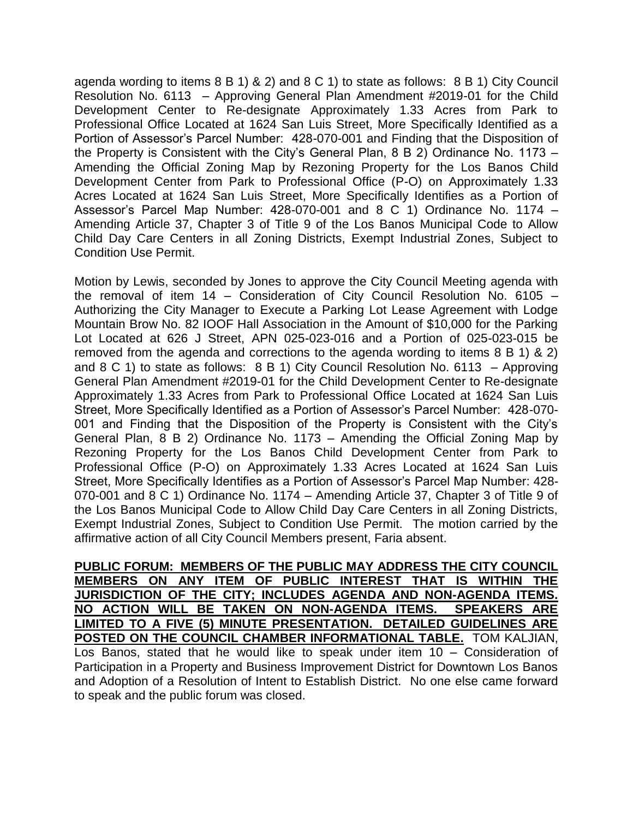agenda wording to items 8 B 1) & 2) and 8 C 1) to state as follows: 8 B 1) City Council Resolution No. 6113 – Approving General Plan Amendment #2019-01 for the Child Development Center to Re-designate Approximately 1.33 Acres from Park to Professional Office Located at 1624 San Luis Street, More Specifically Identified as a Portion of Assessor's Parcel Number: 428-070-001 and Finding that the Disposition of the Property is Consistent with the City's General Plan, 8 B 2) Ordinance No. 1173 – Amending the Official Zoning Map by Rezoning Property for the Los Banos Child Development Center from Park to Professional Office (P-O) on Approximately 1.33 Acres Located at 1624 San Luis Street, More Specifically Identifies as a Portion of Assessor's Parcel Map Number: 428-070-001 and 8 C 1) Ordinance No. 1174 – Amending Article 37, Chapter 3 of Title 9 of the Los Banos Municipal Code to Allow Child Day Care Centers in all Zoning Districts, Exempt Industrial Zones, Subject to Condition Use Permit.

Motion by Lewis, seconded by Jones to approve the City Council Meeting agenda with the removal of item 14 – Consideration of City Council Resolution No. 6105 – Authorizing the City Manager to Execute a Parking Lot Lease Agreement with Lodge Mountain Brow No. 82 IOOF Hall Association in the Amount of \$10,000 for the Parking Lot Located at 626 J Street, APN 025-023-016 and a Portion of 025-023-015 be removed from the agenda and corrections to the agenda wording to items 8 B 1) & 2) and 8 C 1) to state as follows: 8 B 1) City Council Resolution No. 6113 – Approving General Plan Amendment #2019-01 for the Child Development Center to Re-designate Approximately 1.33 Acres from Park to Professional Office Located at 1624 San Luis Street, More Specifically Identified as a Portion of Assessor's Parcel Number: 428-070- 001 and Finding that the Disposition of the Property is Consistent with the City's General Plan, 8 B 2) Ordinance No. 1173 – Amending the Official Zoning Map by Rezoning Property for the Los Banos Child Development Center from Park to Professional Office (P-O) on Approximately 1.33 Acres Located at 1624 San Luis Street, More Specifically Identifies as a Portion of Assessor's Parcel Map Number: 428- 070-001 and 8 C 1) Ordinance No. 1174 – Amending Article 37, Chapter 3 of Title 9 of the Los Banos Municipal Code to Allow Child Day Care Centers in all Zoning Districts, Exempt Industrial Zones, Subject to Condition Use Permit. The motion carried by the affirmative action of all City Council Members present, Faria absent.

**PUBLIC FORUM: MEMBERS OF THE PUBLIC MAY ADDRESS THE CITY COUNCIL MEMBERS ON ANY ITEM OF PUBLIC INTEREST THAT IS WITHIN THE JURISDICTION OF THE CITY; INCLUDES AGENDA AND NON-AGENDA ITEMS. NO ACTION WILL BE TAKEN ON NON-AGENDA ITEMS. SPEAKERS ARE LIMITED TO A FIVE (5) MINUTE PRESENTATION. DETAILED GUIDELINES ARE POSTED ON THE COUNCIL CHAMBER INFORMATIONAL TABLE.** TOM KALJIAN, Los Banos, stated that he would like to speak under item 10 – Consideration of Participation in a Property and Business Improvement District for Downtown Los Banos and Adoption of a Resolution of Intent to Establish District. No one else came forward to speak and the public forum was closed.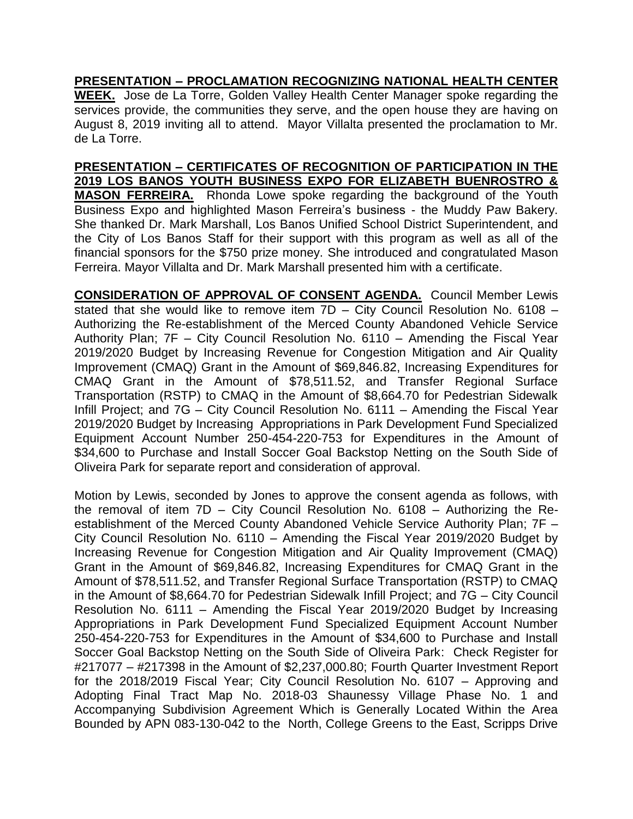**PRESENTATION – PROCLAMATION RECOGNIZING NATIONAL HEALTH CENTER** 

**WEEK.** Jose de La Torre, Golden Valley Health Center Manager spoke regarding the services provide, the communities they serve, and the open house they are having on August 8, 2019 inviting all to attend. Mayor Villalta presented the proclamation to Mr. de La Torre.

# **PRESENTATION – CERTIFICATES OF RECOGNITION OF PARTICIPATION IN THE 2019 LOS BANOS YOUTH BUSINESS EXPO FOR ELIZABETH BUENROSTRO & MASON FERREIRA.** Rhonda Lowe spoke regarding the background of the Youth Business Expo and highlighted Mason Ferreira's business - the Muddy Paw Bakery.

She thanked Dr. Mark Marshall, Los Banos Unified School District Superintendent, and the City of Los Banos Staff for their support with this program as well as all of the financial sponsors for the \$750 prize money. She introduced and congratulated Mason Ferreira. Mayor Villalta and Dr. Mark Marshall presented him with a certificate.

**CONSIDERATION OF APPROVAL OF CONSENT AGENDA.** Council Member Lewis stated that she would like to remove item 7D – City Council Resolution No. 6108 – Authorizing the Re-establishment of the Merced County Abandoned Vehicle Service Authority Plan; 7F – City Council Resolution No. 6110 – Amending the Fiscal Year 2019/2020 Budget by Increasing Revenue for Congestion Mitigation and Air Quality Improvement (CMAQ) Grant in the Amount of \$69,846.82, Increasing Expenditures for CMAQ Grant in the Amount of \$78,511.52, and Transfer Regional Surface Transportation (RSTP) to CMAQ in the Amount of \$8,664.70 for Pedestrian Sidewalk Infill Project; and 7G – City Council Resolution No. 6111 – Amending the Fiscal Year 2019/2020 Budget by Increasing Appropriations in Park Development Fund Specialized Equipment Account Number 250-454-220-753 for Expenditures in the Amount of \$34,600 to Purchase and Install Soccer Goal Backstop Netting on the South Side of Oliveira Park for separate report and consideration of approval.

Motion by Lewis, seconded by Jones to approve the consent agenda as follows, with the removal of item 7D – City Council Resolution No. 6108 – Authorizing the Reestablishment of the Merced County Abandoned Vehicle Service Authority Plan; 7F – City Council Resolution No. 6110 – Amending the Fiscal Year 2019/2020 Budget by Increasing Revenue for Congestion Mitigation and Air Quality Improvement (CMAQ) Grant in the Amount of \$69,846.82, Increasing Expenditures for CMAQ Grant in the Amount of \$78,511.52, and Transfer Regional Surface Transportation (RSTP) to CMAQ in the Amount of \$8,664.70 for Pedestrian Sidewalk Infill Project; and 7G – City Council Resolution No. 6111 – Amending the Fiscal Year 2019/2020 Budget by Increasing Appropriations in Park Development Fund Specialized Equipment Account Number 250-454-220-753 for Expenditures in the Amount of \$34,600 to Purchase and Install Soccer Goal Backstop Netting on the South Side of Oliveira Park: Check Register for #217077 – #217398 in the Amount of \$2,237,000.80; Fourth Quarter Investment Report for the 2018/2019 Fiscal Year; City Council Resolution No. 6107 – Approving and Adopting Final Tract Map No. 2018-03 Shaunessy Village Phase No. 1 and Accompanying Subdivision Agreement Which is Generally Located Within the Area Bounded by APN 083-130-042 to the North, College Greens to the East, Scripps Drive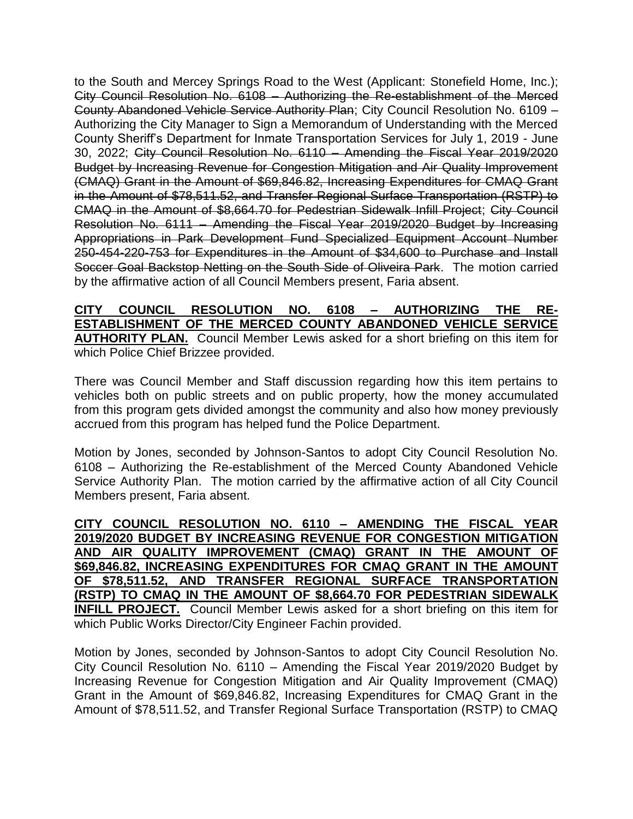to the South and Mercey Springs Road to the West (Applicant: Stonefield Home, Inc.); City Council Resolution No. 6108 – Authorizing the Re-establishment of the Merced County Abandoned Vehicle Service Authority Plan; City Council Resolution No. 6109 – Authorizing the City Manager to Sign a Memorandum of Understanding with the Merced County Sheriff's Department for Inmate Transportation Services for July 1, 2019 - June 30, 2022; City Council Resolution No. 6110 – Amending the Fiscal Year 2019/2020 Budget by Increasing Revenue for Congestion Mitigation and Air Quality Improvement (CMAQ) Grant in the Amount of \$69,846.82, Increasing Expenditures for CMAQ Grant in the Amount of \$78,511.52, and Transfer Regional Surface Transportation (RSTP) to CMAQ in the Amount of \$8,664.70 for Pedestrian Sidewalk Infill Project; City Council Resolution No. 6111 – Amending the Fiscal Year 2019/2020 Budget by Increasing Appropriations in Park Development Fund Specialized Equipment Account Number 250-454-220-753 for Expenditures in the Amount of \$34,600 to Purchase and Install Soccer Goal Backstop Netting on the South Side of Oliveira Park. The motion carried by the affirmative action of all Council Members present, Faria absent.

#### **CITY COUNCIL RESOLUTION NO. 6108 – AUTHORIZING THE RE-ESTABLISHMENT OF THE MERCED COUNTY ABANDONED VEHICLE SERVICE AUTHORITY PLAN.** Council Member Lewis asked for a short briefing on this item for which Police Chief Brizzee provided.

There was Council Member and Staff discussion regarding how this item pertains to vehicles both on public streets and on public property, how the money accumulated from this program gets divided amongst the community and also how money previously accrued from this program has helped fund the Police Department.

Motion by Jones, seconded by Johnson-Santos to adopt City Council Resolution No. 6108 – Authorizing the Re-establishment of the Merced County Abandoned Vehicle Service Authority Plan. The motion carried by the affirmative action of all City Council Members present, Faria absent.

**CITY COUNCIL RESOLUTION NO. 6110 – AMENDING THE FISCAL YEAR 2019/2020 BUDGET BY INCREASING REVENUE FOR CONGESTION MITIGATION AND AIR QUALITY IMPROVEMENT (CMAQ) GRANT IN THE AMOUNT OF \$69,846.82, INCREASING EXPENDITURES FOR CMAQ GRANT IN THE AMOUNT OF \$78,511.52, AND TRANSFER REGIONAL SURFACE TRANSPORTATION (RSTP) TO CMAQ IN THE AMOUNT OF \$8,664.70 FOR PEDESTRIAN SIDEWALK INFILL PROJECT.** Council Member Lewis asked for a short briefing on this item for which Public Works Director/City Engineer Fachin provided.

Motion by Jones, seconded by Johnson-Santos to adopt City Council Resolution No. City Council Resolution No. 6110 – Amending the Fiscal Year 2019/2020 Budget by Increasing Revenue for Congestion Mitigation and Air Quality Improvement (CMAQ) Grant in the Amount of \$69,846.82, Increasing Expenditures for CMAQ Grant in the Amount of \$78,511.52, and Transfer Regional Surface Transportation (RSTP) to CMAQ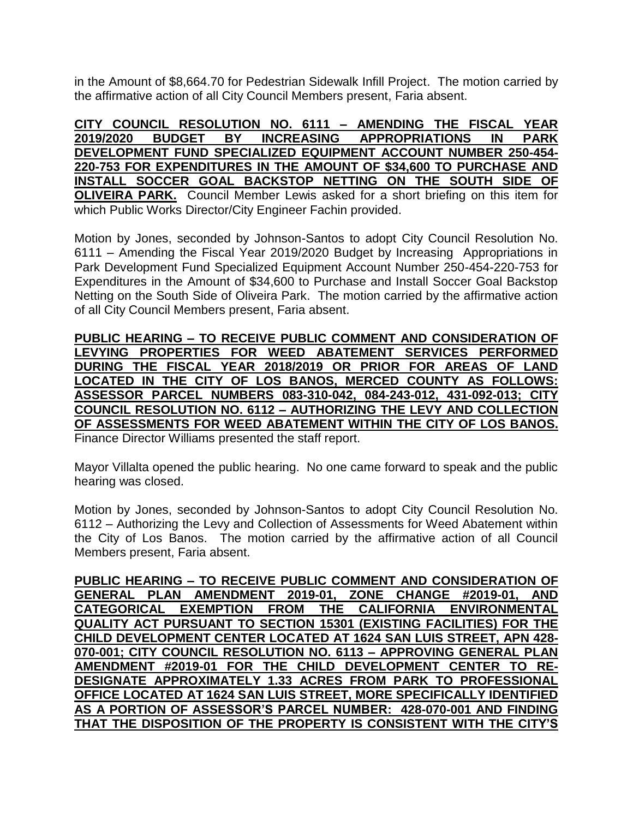in the Amount of \$8,664.70 for Pedestrian Sidewalk Infill Project. The motion carried by the affirmative action of all City Council Members present, Faria absent.

**CITY COUNCIL RESOLUTION NO. 6111 – AMENDING THE FISCAL YEAR 2019/2020 BUDGET BY INCREASING APPROPRIATIONS IN PARK DEVELOPMENT FUND SPECIALIZED EQUIPMENT ACCOUNT NUMBER 250-454- 220-753 FOR EXPENDITURES IN THE AMOUNT OF \$34,600 TO PURCHASE AND INSTALL SOCCER GOAL BACKSTOP NETTING ON THE SOUTH SIDE OF OLIVEIRA PARK.** Council Member Lewis asked for a short briefing on this item for which Public Works Director/City Engineer Fachin provided.

Motion by Jones, seconded by Johnson-Santos to adopt City Council Resolution No. 6111 – Amending the Fiscal Year 2019/2020 Budget by Increasing Appropriations in Park Development Fund Specialized Equipment Account Number 250-454-220-753 for Expenditures in the Amount of \$34,600 to Purchase and Install Soccer Goal Backstop Netting on the South Side of Oliveira Park. The motion carried by the affirmative action of all City Council Members present, Faria absent.

**PUBLIC HEARING – TO RECEIVE PUBLIC COMMENT AND CONSIDERATION OF LEVYING PROPERTIES FOR WEED ABATEMENT SERVICES PERFORMED DURING THE FISCAL YEAR 2018/2019 OR PRIOR FOR AREAS OF LAND LOCATED IN THE CITY OF LOS BANOS, MERCED COUNTY AS FOLLOWS: ASSESSOR PARCEL NUMBERS 083-310-042, 084-243-012, 431-092-013; CITY COUNCIL RESOLUTION NO. 6112 – AUTHORIZING THE LEVY AND COLLECTION OF ASSESSMENTS FOR WEED ABATEMENT WITHIN THE CITY OF LOS BANOS.** Finance Director Williams presented the staff report.

Mayor Villalta opened the public hearing. No one came forward to speak and the public

hearing was closed.

Motion by Jones, seconded by Johnson-Santos to adopt City Council Resolution No. 6112 – Authorizing the Levy and Collection of Assessments for Weed Abatement within the City of Los Banos. The motion carried by the affirmative action of all Council Members present, Faria absent.

**PUBLIC HEARING – TO RECEIVE PUBLIC COMMENT AND CONSIDERATION OF GENERAL PLAN AMENDMENT 2019-01, ZONE CHANGE #2019-01, AND CATEGORICAL EXEMPTION FROM THE CALIFORNIA ENVIRONMENTAL QUALITY ACT PURSUANT TO SECTION 15301 (EXISTING FACILITIES) FOR THE CHILD DEVELOPMENT CENTER LOCATED AT 1624 SAN LUIS STREET, APN 428- 070-001; CITY COUNCIL RESOLUTION NO. 6113 – APPROVING GENERAL PLAN AMENDMENT #2019-01 FOR THE CHILD DEVELOPMENT CENTER TO RE-DESIGNATE APPROXIMATELY 1.33 ACRES FROM PARK TO PROFESSIONAL OFFICE LOCATED AT 1624 SAN LUIS STREET, MORE SPECIFICALLY IDENTIFIED AS A PORTION OF ASSESSOR'S PARCEL NUMBER: 428-070-001 AND FINDING THAT THE DISPOSITION OF THE PROPERTY IS CONSISTENT WITH THE CITY'S**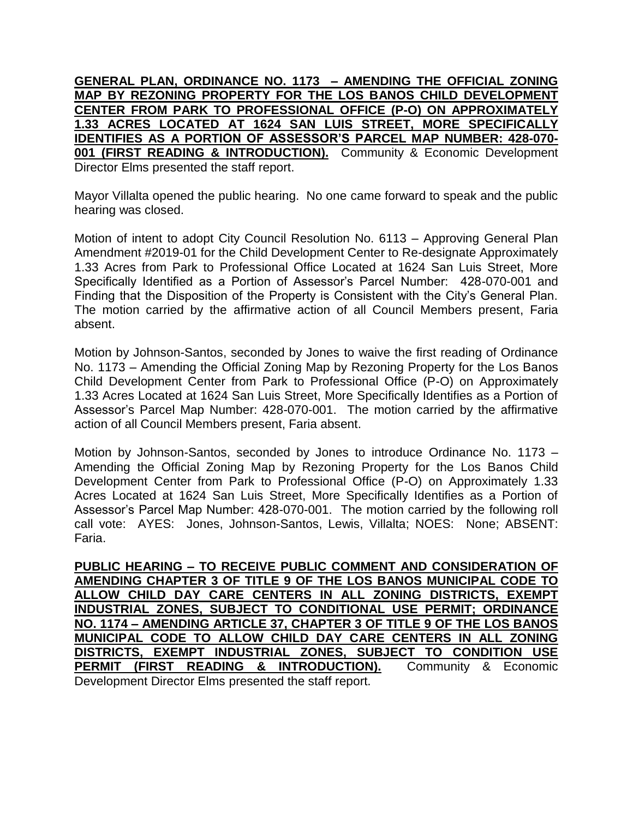**GENERAL PLAN, ORDINANCE NO. 1173 – AMENDING THE OFFICIAL ZONING MAP BY REZONING PROPERTY FOR THE LOS BANOS CHILD DEVELOPMENT CENTER FROM PARK TO PROFESSIONAL OFFICE (P-O) ON APPROXIMATELY 1.33 ACRES LOCATED AT 1624 SAN LUIS STREET, MORE SPECIFICALLY IDENTIFIES AS A PORTION OF ASSESSOR'S PARCEL MAP NUMBER: 428-070- 001 (FIRST READING & INTRODUCTION).** Community & Economic Development Director Elms presented the staff report.

Mayor Villalta opened the public hearing. No one came forward to speak and the public hearing was closed.

Motion of intent to adopt City Council Resolution No. 6113 – Approving General Plan Amendment #2019-01 for the Child Development Center to Re-designate Approximately 1.33 Acres from Park to Professional Office Located at 1624 San Luis Street, More Specifically Identified as a Portion of Assessor's Parcel Number: 428-070-001 and Finding that the Disposition of the Property is Consistent with the City's General Plan. The motion carried by the affirmative action of all Council Members present, Faria absent.

Motion by Johnson-Santos, seconded by Jones to waive the first reading of Ordinance No. 1173 – Amending the Official Zoning Map by Rezoning Property for the Los Banos Child Development Center from Park to Professional Office (P-O) on Approximately 1.33 Acres Located at 1624 San Luis Street, More Specifically Identifies as a Portion of Assessor's Parcel Map Number: 428-070-001. The motion carried by the affirmative action of all Council Members present, Faria absent.

Motion by Johnson-Santos, seconded by Jones to introduce Ordinance No. 1173 – Amending the Official Zoning Map by Rezoning Property for the Los Banos Child Development Center from Park to Professional Office (P-O) on Approximately 1.33 Acres Located at 1624 San Luis Street, More Specifically Identifies as a Portion of Assessor's Parcel Map Number: 428-070-001. The motion carried by the following roll call vote: AYES: Jones, Johnson-Santos, Lewis, Villalta; NOES: None; ABSENT: Faria.

**PUBLIC HEARING – TO RECEIVE PUBLIC COMMENT AND CONSIDERATION OF AMENDING CHAPTER 3 OF TITLE 9 OF THE LOS BANOS MUNICIPAL CODE TO ALLOW CHILD DAY CARE CENTERS IN ALL ZONING DISTRICTS, EXEMPT INDUSTRIAL ZONES, SUBJECT TO CONDITIONAL USE PERMIT; ORDINANCE NO. 1174 – AMENDING ARTICLE 37, CHAPTER 3 OF TITLE 9 OF THE LOS BANOS MUNICIPAL CODE TO ALLOW CHILD DAY CARE CENTERS IN ALL ZONING DISTRICTS, EXEMPT INDUSTRIAL ZONES, SUBJECT TO CONDITION USE PERMIT (FIRST READING & INTRODUCTION).** Community & Economic Development Director Elms presented the staff report.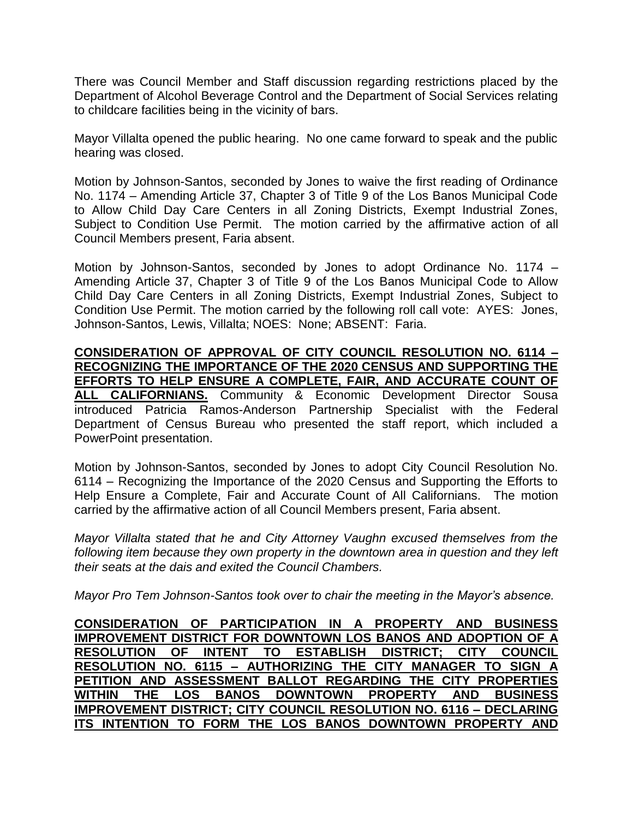There was Council Member and Staff discussion regarding restrictions placed by the Department of Alcohol Beverage Control and the Department of Social Services relating to childcare facilities being in the vicinity of bars.

Mayor Villalta opened the public hearing. No one came forward to speak and the public hearing was closed.

Motion by Johnson-Santos, seconded by Jones to waive the first reading of Ordinance No. 1174 – Amending Article 37, Chapter 3 of Title 9 of the Los Banos Municipal Code to Allow Child Day Care Centers in all Zoning Districts, Exempt Industrial Zones, Subject to Condition Use Permit. The motion carried by the affirmative action of all Council Members present, Faria absent.

Motion by Johnson-Santos, seconded by Jones to adopt Ordinance No. 1174 – Amending Article 37, Chapter 3 of Title 9 of the Los Banos Municipal Code to Allow Child Day Care Centers in all Zoning Districts, Exempt Industrial Zones, Subject to Condition Use Permit. The motion carried by the following roll call vote: AYES: Jones, Johnson-Santos, Lewis, Villalta; NOES: None; ABSENT: Faria.

**CONSIDERATION OF APPROVAL OF CITY COUNCIL RESOLUTION NO. 6114 – RECOGNIZING THE IMPORTANCE OF THE 2020 CENSUS AND SUPPORTING THE EFFORTS TO HELP ENSURE A COMPLETE, FAIR, AND ACCURATE COUNT OF ALL CALIFORNIANS.** Community & Economic Development Director Sousa introduced Patricia Ramos-Anderson Partnership Specialist with the Federal Department of Census Bureau who presented the staff report, which included a PowerPoint presentation.

Motion by Johnson-Santos, seconded by Jones to adopt City Council Resolution No. 6114 – Recognizing the Importance of the 2020 Census and Supporting the Efforts to Help Ensure a Complete, Fair and Accurate Count of All Californians. The motion carried by the affirmative action of all Council Members present, Faria absent.

*Mayor Villalta stated that he and City Attorney Vaughn excused themselves from the following item because they own property in the downtown area in question and they left their seats at the dais and exited the Council Chambers.*

*Mayor Pro Tem Johnson-Santos took over to chair the meeting in the Mayor's absence.*

**CONSIDERATION OF PARTICIPATION IN A PROPERTY AND BUSINESS IMPROVEMENT DISTRICT FOR DOWNTOWN LOS BANOS AND ADOPTION OF A RESOLUTION OF INTENT TO ESTABLISH DISTRICT; CITY COUNCIL RESOLUTION NO. 6115 – AUTHORIZING THE CITY MANAGER TO SIGN A PETITION AND ASSESSMENT BALLOT REGARDING THE CITY PROPERTIES WITHIN THE LOS BANOS DOWNTOWN PROPERTY AND BUSINESS IMPROVEMENT DISTRICT; CITY COUNCIL RESOLUTION NO. 6116 – DECLARING ITS INTENTION TO FORM THE LOS BANOS DOWNTOWN PROPERTY AND**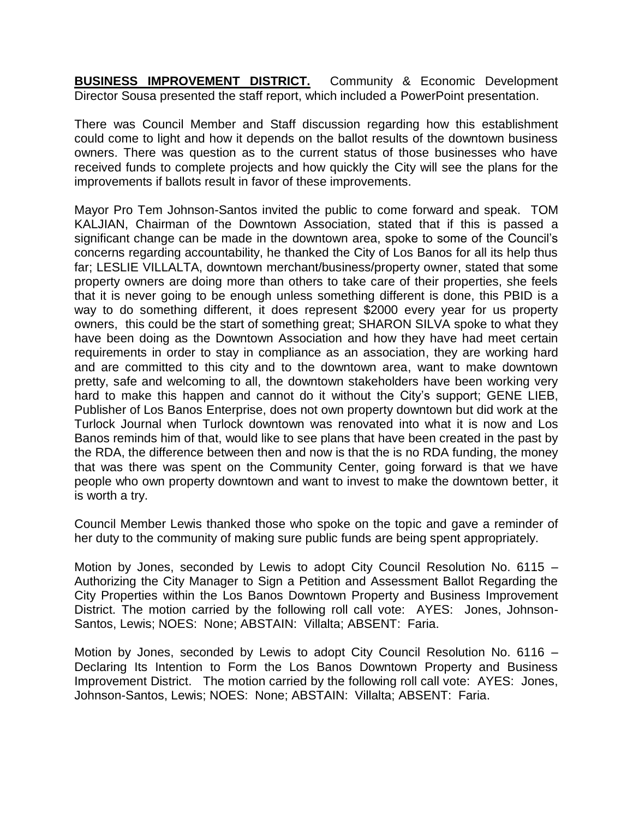**BUSINESS IMPROVEMENT DISTRICT.** Community & Economic Development Director Sousa presented the staff report, which included a PowerPoint presentation.

There was Council Member and Staff discussion regarding how this establishment could come to light and how it depends on the ballot results of the downtown business owners. There was question as to the current status of those businesses who have received funds to complete projects and how quickly the City will see the plans for the improvements if ballots result in favor of these improvements.

Mayor Pro Tem Johnson-Santos invited the public to come forward and speak. TOM KALJIAN, Chairman of the Downtown Association, stated that if this is passed a significant change can be made in the downtown area, spoke to some of the Council's concerns regarding accountability, he thanked the City of Los Banos for all its help thus far; LESLIE VILLALTA, downtown merchant/business/property owner, stated that some property owners are doing more than others to take care of their properties, she feels that it is never going to be enough unless something different is done, this PBID is a way to do something different, it does represent \$2000 every year for us property owners, this could be the start of something great; SHARON SILVA spoke to what they have been doing as the Downtown Association and how they have had meet certain requirements in order to stay in compliance as an association, they are working hard and are committed to this city and to the downtown area, want to make downtown pretty, safe and welcoming to all, the downtown stakeholders have been working very hard to make this happen and cannot do it without the City's support; GENE LIEB, Publisher of Los Banos Enterprise, does not own property downtown but did work at the Turlock Journal when Turlock downtown was renovated into what it is now and Los Banos reminds him of that, would like to see plans that have been created in the past by the RDA, the difference between then and now is that the is no RDA funding, the money that was there was spent on the Community Center, going forward is that we have people who own property downtown and want to invest to make the downtown better, it is worth a try.

Council Member Lewis thanked those who spoke on the topic and gave a reminder of her duty to the community of making sure public funds are being spent appropriately.

Motion by Jones, seconded by Lewis to adopt City Council Resolution No. 6115 – Authorizing the City Manager to Sign a Petition and Assessment Ballot Regarding the City Properties within the Los Banos Downtown Property and Business Improvement District. The motion carried by the following roll call vote: AYES: Jones, Johnson-Santos, Lewis; NOES: None; ABSTAIN: Villalta; ABSENT: Faria.

Motion by Jones, seconded by Lewis to adopt City Council Resolution No. 6116 – Declaring Its Intention to Form the Los Banos Downtown Property and Business Improvement District. The motion carried by the following roll call vote: AYES: Jones, Johnson-Santos, Lewis; NOES: None; ABSTAIN: Villalta; ABSENT: Faria.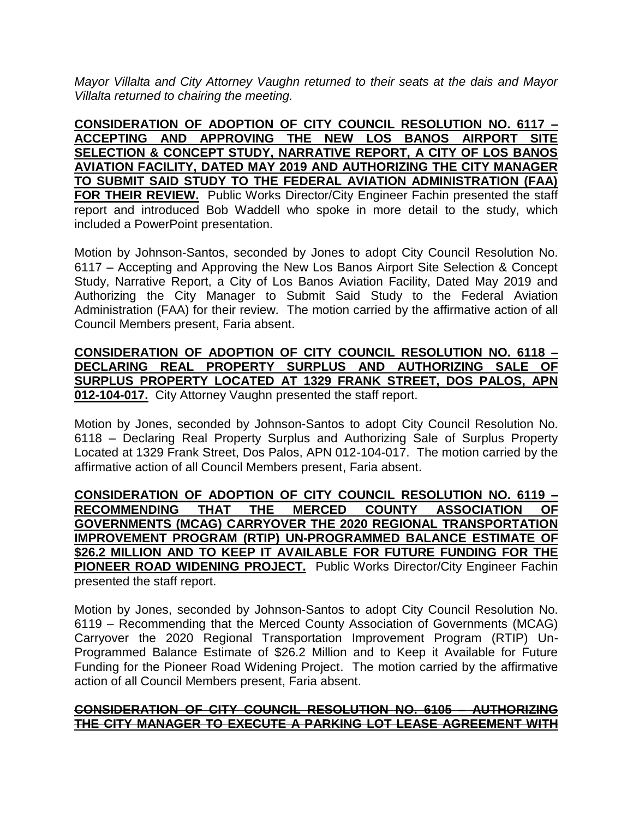*Mayor Villalta and City Attorney Vaughn returned to their seats at the dais and Mayor Villalta returned to chairing the meeting.*

**CONSIDERATION OF ADOPTION OF CITY COUNCIL RESOLUTION NO. 6117 – ACCEPTING AND APPROVING THE NEW LOS BANOS AIRPORT SITE SELECTION & CONCEPT STUDY, NARRATIVE REPORT, A CITY OF LOS BANOS AVIATION FACILITY, DATED MAY 2019 AND AUTHORIZING THE CITY MANAGER TO SUBMIT SAID STUDY TO THE FEDERAL AVIATION ADMINISTRATION (FAA) FOR THEIR REVIEW.** Public Works Director/City Engineer Fachin presented the staff report and introduced Bob Waddell who spoke in more detail to the study, which included a PowerPoint presentation.

Motion by Johnson-Santos, seconded by Jones to adopt City Council Resolution No. 6117 – Accepting and Approving the New Los Banos Airport Site Selection & Concept Study, Narrative Report, a City of Los Banos Aviation Facility, Dated May 2019 and Authorizing the City Manager to Submit Said Study to the Federal Aviation Administration (FAA) for their review. The motion carried by the affirmative action of all Council Members present, Faria absent.

## **CONSIDERATION OF ADOPTION OF CITY COUNCIL RESOLUTION NO. 6118 – DECLARING REAL PROPERTY SURPLUS AND AUTHORIZING SALE OF SURPLUS PROPERTY LOCATED AT 1329 FRANK STREET, DOS PALOS, APN 012-104-017.** City Attorney Vaughn presented the staff report.

Motion by Jones, seconded by Johnson-Santos to adopt City Council Resolution No. 6118 – Declaring Real Property Surplus and Authorizing Sale of Surplus Property Located at 1329 Frank Street, Dos Palos, APN 012-104-017. The motion carried by the affirmative action of all Council Members present, Faria absent.

**CONSIDERATION OF ADOPTION OF CITY COUNCIL RESOLUTION NO. 6119 – RECOMMENDING THAT THE MERCED COUNTY ASSOCIATION OF GOVERNMENTS (MCAG) CARRYOVER THE 2020 REGIONAL TRANSPORTATION IMPROVEMENT PROGRAM (RTIP) UN-PROGRAMMED BALANCE ESTIMATE OF \$26.2 MILLION AND TO KEEP IT AVAILABLE FOR FUTURE FUNDING FOR THE PIONEER ROAD WIDENING PROJECT.** Public Works Director/City Engineer Fachin presented the staff report.

Motion by Jones, seconded by Johnson-Santos to adopt City Council Resolution No. 6119 – Recommending that the Merced County Association of Governments (MCAG) Carryover the 2020 Regional Transportation Improvement Program (RTIP) Un-Programmed Balance Estimate of \$26.2 Million and to Keep it Available for Future Funding for the Pioneer Road Widening Project. The motion carried by the affirmative action of all Council Members present, Faria absent.

## **CONSIDERATION OF CITY COUNCIL RESOLUTION NO. 6105 – AUTHORIZING THE CITY MANAGER TO EXECUTE A PARKING LOT LEASE AGREEMENT WITH**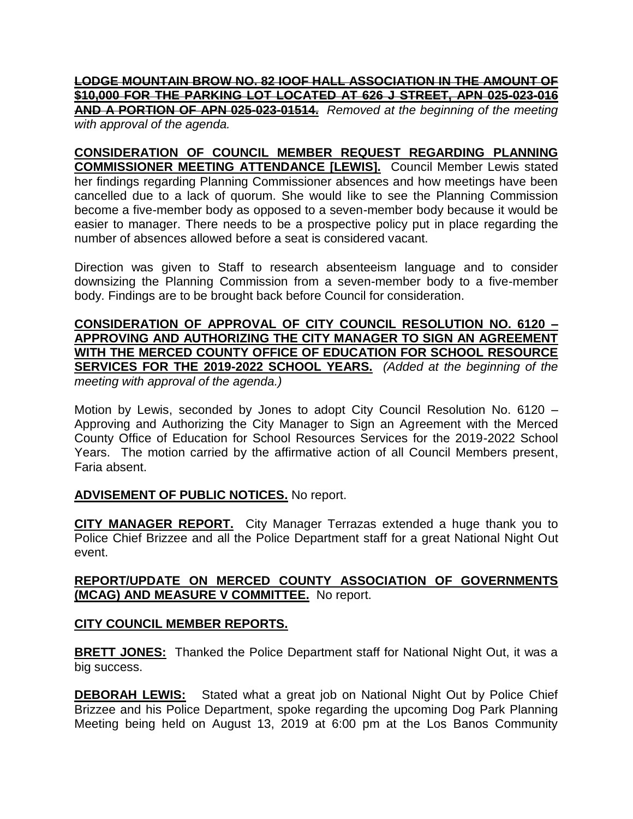**LODGE MOUNTAIN BROW NO. 82 IOOF HALL ASSOCIATION IN THE AMOUNT OF \$10,000 FOR THE PARKING LOT LOCATED AT 626 J STREET, APN 025-023-016 AND A PORTION OF APN 025-023-01514.** *Removed at the beginning of the meeting with approval of the agenda.*

**CONSIDERATION OF COUNCIL MEMBER REQUEST REGARDING PLANNING COMMISSIONER MEETING ATTENDANCE [LEWIS].** Council Member Lewis stated her findings regarding Planning Commissioner absences and how meetings have been cancelled due to a lack of quorum. She would like to see the Planning Commission become a five-member body as opposed to a seven-member body because it would be easier to manager. There needs to be a prospective policy put in place regarding the number of absences allowed before a seat is considered vacant.

Direction was given to Staff to research absenteeism language and to consider downsizing the Planning Commission from a seven-member body to a five-member body. Findings are to be brought back before Council for consideration.

**CONSIDERATION OF APPROVAL OF CITY COUNCIL RESOLUTION NO. 6120 – APPROVING AND AUTHORIZING THE CITY MANAGER TO SIGN AN AGREEMENT WITH THE MERCED COUNTY OFFICE OF EDUCATION FOR SCHOOL RESOURCE SERVICES FOR THE 2019-2022 SCHOOL YEARS.** *(Added at the beginning of the meeting with approval of the agenda.)*

Motion by Lewis, seconded by Jones to adopt City Council Resolution No. 6120 – Approving and Authorizing the City Manager to Sign an Agreement with the Merced County Office of Education for School Resources Services for the 2019-2022 School Years. The motion carried by the affirmative action of all Council Members present, Faria absent.

#### **ADVISEMENT OF PUBLIC NOTICES.** No report.

**CITY MANAGER REPORT.** City Manager Terrazas extended a huge thank you to Police Chief Brizzee and all the Police Department staff for a great National Night Out event.

## **REPORT/UPDATE ON MERCED COUNTY ASSOCIATION OF GOVERNMENTS (MCAG) AND MEASURE V COMMITTEE.** No report.

## **CITY COUNCIL MEMBER REPORTS.**

**BRETT JONES:** Thanked the Police Department staff for National Night Out, it was a big success.

**DEBORAH LEWIS:** Stated what a great job on National Night Out by Police Chief Brizzee and his Police Department, spoke regarding the upcoming Dog Park Planning Meeting being held on August 13, 2019 at 6:00 pm at the Los Banos Community